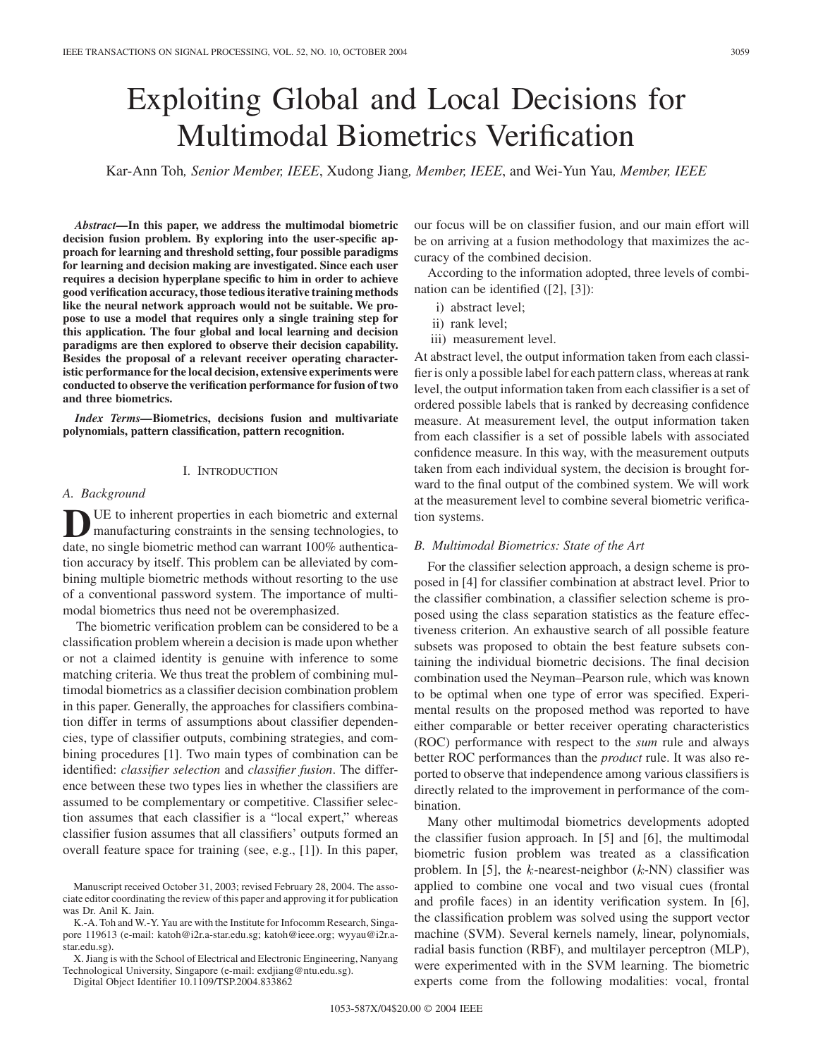# Exploiting Global and Local Decisions for Multimodal Biometrics Verification

Kar-Ann Toh*, Senior Member, IEEE*, Xudong Jiang*, Member, IEEE*, and Wei-Yun Yau*, Member, IEEE*

*Abstract—***In this paper, we address the multimodal biometric decision fusion problem. By exploring into the user-specific approach for learning and threshold setting, four possible paradigms for learning and decision making are investigated. Since each user requires a decision hyperplane specific to him in order to achieve good verification accuracy, those tedious iterative training methods like the neural network approach would not be suitable. We propose to use a model that requires only a single training step for this application. The four global and local learning and decision paradigms are then explored to observe their decision capability. Besides the proposal of a relevant receiver operating characteristic performance for the local decision, extensive experiments were conducted to observe the verification performance for fusion of two and three biometrics.**

*Index Terms—***Biometrics, decisions fusion and multivariate polynomials, pattern classification, pattern recognition.**

### I. INTRODUCTION

## *A. Background*

**D**UE to inherent properties in each biometric and external manufacturing constraints in the sensing technologies, to date, no single biometric method can warrant 100% authentication accuracy by itself. This problem can be alleviated by combining multiple biometric methods without resorting to the use of a conventional password system. The importance of multimodal biometrics thus need not be overemphasized.

The biometric verification problem can be considered to be a classification problem wherein a decision is made upon whether or not a claimed identity is genuine with inference to some matching criteria. We thus treat the problem of combining multimodal biometrics as a classifier decision combination problem in this paper. Generally, the approaches for classifiers combination differ in terms of assumptions about classifier dependencies, type of classifier outputs, combining strategies, and combining procedures [1]. Two main types of combination can be identified: *classifier selection* and *classifier fusion*. The difference between these two types lies in whether the classifiers are assumed to be complementary or competitive. Classifier selection assumes that each classifier is a "local expert," whereas classifier fusion assumes that all classifiers' outputs formed an overall feature space for training (see, e.g., [1]). In this paper,

X. Jiang is with the School of Electrical and Electronic Engineering, Nanyang Technological University, Singapore (e-mail: exdjiang@ntu.edu.sg).

Digital Object Identifier 10.1109/TSP.2004.833862

our focus will be on classifier fusion, and our main effort will be on arriving at a fusion methodology that maximizes the accuracy of the combined decision.

According to the information adopted, three levels of combination can be identified ([2], [3]):

- i) abstract level;
- ii) rank level;
- iii) measurement level.

At abstract level, the output information taken from each classifier is only a possible label for each pattern class, whereas at rank level, the output information taken from each classifier is a set of ordered possible labels that is ranked by decreasing confidence measure. At measurement level, the output information taken from each classifier is a set of possible labels with associated confidence measure. In this way, with the measurement outputs taken from each individual system, the decision is brought forward to the final output of the combined system. We will work at the measurement level to combine several biometric verification systems.

#### *B. Multimodal Biometrics: State of the Art*

For the classifier selection approach, a design scheme is proposed in [4] for classifier combination at abstract level. Prior to the classifier combination, a classifier selection scheme is proposed using the class separation statistics as the feature effectiveness criterion. An exhaustive search of all possible feature subsets was proposed to obtain the best feature subsets containing the individual biometric decisions. The final decision combination used the Neyman–Pearson rule, which was known to be optimal when one type of error was specified. Experimental results on the proposed method was reported to have either comparable or better receiver operating characteristics (ROC) performance with respect to the *sum* rule and always better ROC performances than the *product* rule. It was also reported to observe that independence among various classifiers is directly related to the improvement in performance of the combination.

Many other multimodal biometrics developments adopted the classifier fusion approach. In [5] and [6], the multimodal biometric fusion problem was treated as a classification problem. In [5], the  $k$ -nearest-neighbor ( $k$ -NN) classifier was applied to combine one vocal and two visual cues (frontal and profile faces) in an identity verification system. In [6], the classification problem was solved using the support vector machine (SVM). Several kernels namely, linear, polynomials, radial basis function (RBF), and multilayer perceptron (MLP), were experimented with in the SVM learning. The biometric experts come from the following modalities: vocal, frontal

Manuscript received October 31, 2003; revised February 28, 2004. The associate editor coordinating the review of this paper and approving it for publication was Dr. Anil K. Jain.

K.-A. Toh and W.-Y. Yau are with the Institute for Infocomm Research, Singapore 119613 (e-mail: katoh@i2r.a-star.edu.sg; katoh@ieee.org; wyyau@i2r.astar.edu.sg).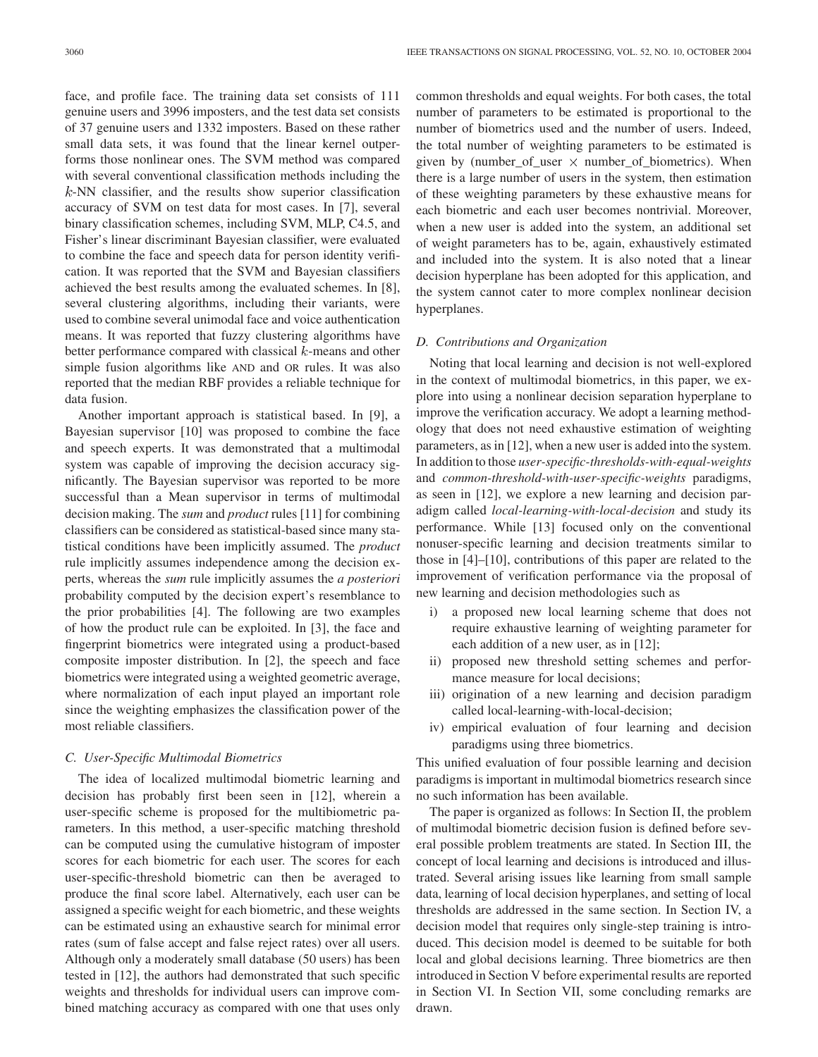face, and profile face. The training data set consists of 111 genuine users and 3996 imposters, and the test data set consists of 37 genuine users and 1332 imposters. Based on these rather small data sets, it was found that the linear kernel outperforms those nonlinear ones. The SVM method was compared with several conventional classification methods including the  $k$ -NN classifier, and the results show superior classification accuracy of SVM on test data for most cases. In [7], several binary classification schemes, including SVM, MLP, C4.5, and Fisher's linear discriminant Bayesian classifier, were evaluated to combine the face and speech data for person identity verification. It was reported that the SVM and Bayesian classifiers achieved the best results among the evaluated schemes. In [8], several clustering algorithms, including their variants, were used to combine several unimodal face and voice authentication means. It was reported that fuzzy clustering algorithms have better performance compared with classical  $k$ -means and other simple fusion algorithms like AND and OR rules. It was also reported that the median RBF provides a reliable technique for data fusion.

Another important approach is statistical based. In [9], a Bayesian supervisor [10] was proposed to combine the face and speech experts. It was demonstrated that a multimodal system was capable of improving the decision accuracy significantly. The Bayesian supervisor was reported to be more successful than a Mean supervisor in terms of multimodal decision making. The *sum* and *product* rules [11] for combining classifiers can be considered as statistical-based since many statistical conditions have been implicitly assumed. The *product* rule implicitly assumes independence among the decision experts, whereas the *sum* rule implicitly assumes the *a posteriori* probability computed by the decision expert's resemblance to the prior probabilities [4]. The following are two examples of how the product rule can be exploited. In [3], the face and fingerprint biometrics were integrated using a product-based composite imposter distribution. In [2], the speech and face biometrics were integrated using a weighted geometric average, where normalization of each input played an important role since the weighting emphasizes the classification power of the most reliable classifiers.

# *C. User-Specific Multimodal Biometrics*

The idea of localized multimodal biometric learning and decision has probably first been seen in [12], wherein a user-specific scheme is proposed for the multibiometric parameters. In this method, a user-specific matching threshold can be computed using the cumulative histogram of imposter scores for each biometric for each user. The scores for each user-specific-threshold biometric can then be averaged to produce the final score label. Alternatively, each user can be assigned a specific weight for each biometric, and these weights can be estimated using an exhaustive search for minimal error rates (sum of false accept and false reject rates) over all users. Although only a moderately small database (50 users) has been tested in [12], the authors had demonstrated that such specific weights and thresholds for individual users can improve combined matching accuracy as compared with one that uses only common thresholds and equal weights. For both cases, the total number of parameters to be estimated is proportional to the number of biometrics used and the number of users. Indeed, the total number of weighting parameters to be estimated is given by (number\_of\_user  $\times$  number\_of\_biometrics). When there is a large number of users in the system, then estimation of these weighting parameters by these exhaustive means for each biometric and each user becomes nontrivial. Moreover, when a new user is added into the system, an additional set of weight parameters has to be, again, exhaustively estimated and included into the system. It is also noted that a linear decision hyperplane has been adopted for this application, and the system cannot cater to more complex nonlinear decision hyperplanes.

## *D. Contributions and Organization*

Noting that local learning and decision is not well-explored in the context of multimodal biometrics, in this paper, we explore into using a nonlinear decision separation hyperplane to improve the verification accuracy. We adopt a learning methodology that does not need exhaustive estimation of weighting parameters, as in [12], when a new user is added into the system. In addition to those *user-specific-thresholds-with-equal-weights* and *common-threshold-with-user-specific-weights* paradigms, as seen in [12], we explore a new learning and decision paradigm called *local-learning-with-local-decision* and study its performance. While [13] focused only on the conventional nonuser-specific learning and decision treatments similar to those in [4]–[10], contributions of this paper are related to the improvement of verification performance via the proposal of new learning and decision methodologies such as

- i) a proposed new local learning scheme that does not require exhaustive learning of weighting parameter for each addition of a new user, as in [12];
- ii) proposed new threshold setting schemes and performance measure for local decisions;
- iii) origination of a new learning and decision paradigm called local-learning-with-local-decision;
- iv) empirical evaluation of four learning and decision paradigms using three biometrics.

This unified evaluation of four possible learning and decision paradigms is important in multimodal biometrics research since no such information has been available.

The paper is organized as follows: In Section II, the problem of multimodal biometric decision fusion is defined before several possible problem treatments are stated. In Section III, the concept of local learning and decisions is introduced and illustrated. Several arising issues like learning from small sample data, learning of local decision hyperplanes, and setting of local thresholds are addressed in the same section. In Section IV, a decision model that requires only single-step training is introduced. This decision model is deemed to be suitable for both local and global decisions learning. Three biometrics are then introduced in Section V before experimental results are reported in Section VI. In Section VII, some concluding remarks are drawn.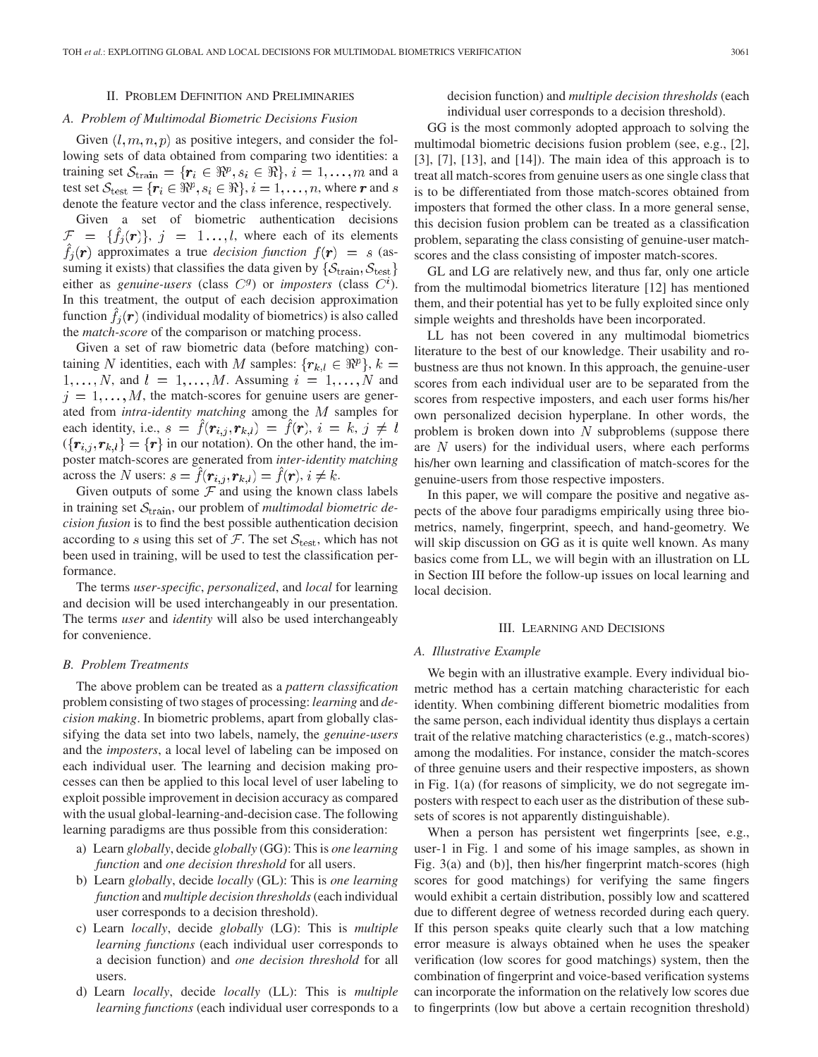# II. PROBLEM DEFINITION AND PRELIMINARIES

## *A. Problem of Multimodal Biometric Decisions Fusion*

Given  $(l, m, n, p)$  as positive integers, and consider the following sets of data obtained from comparing two identities: a training set  $\mathcal{S}_{\text{train}} = \{r_i \in \Re^p, s_i \in \Re\}, i = 1, \ldots, m$  and a test set  $\mathcal{S}_{\text{test}} = \{r_i \in \Re^p, s_i \in \Re\}, i = 1, \dots, n$ , where  $r$  and  $s$ denote the feature vector and the class inference, respectively.

Given a set of biometric authentication decisions  $\mathcal{F} = \{\hat{f}_j(\mathbf{r})\}, \, j = 1, \ldots, l$ , where each of its elements  $f_i(\mathbf{r})$  approximates a true *decision function*  $f(\mathbf{r}) = s$  (assuming it exists) that classifies the data given by  $\{S_{\text{train}}, S_{\text{test}}\}$ either as *genuine-users* (class  $C^g$ ) or *imposters* (class  $C^i$ ). In this treatment, the output of each decision approximation function  $f_i(\mathbf{r})$  (individual modality of biometrics) is also called the *match-score* of the comparison or matching process.

Given a set of raw biometric data (before matching) containing N identities, each with M samples:  $\{r_{k,l} \in \Re^p\}, k =$  $1, \ldots, N$ , and  $l = 1, \ldots, M$ . Assuming  $i = 1, \ldots, N$  and  $j = 1, \ldots, M$ , the match-scores for genuine users are generated from *intra-identity matching* among the M samples for each identity, i.e.,  $s = \hat{f}(r_{i,j}, r_{k,l}) = \hat{f}(r), i = k, j \neq l$  $\{ \mathbf{r}_{i,j}, \mathbf{r}_{k,l} \} = \{ \mathbf{r} \}$  in our notation). On the other hand, the imposter match-scores are generated from *inter-identity matching* across the N users:  $s = \hat{f}(\mathbf{r}_{i,j}, \mathbf{r}_{k,l}) = \hat{f}(\mathbf{r}), i \neq k$ .

Given outputs of some  $F$  and using the known class labels in training set  $S_{\text{train}}$ , our problem of *multimodal biometric decision fusion* is to find the best possible authentication decision according to s using this set of  $\mathcal F$ . The set  $\mathcal S_{\text{test}}$ , which has not been used in training, will be used to test the classification performance.

The terms *user-specific*, *personalized*, and *local* for learning and decision will be used interchangeably in our presentation. The terms *user* and *identity* will also be used interchangeably for convenience.

#### *B. Problem Treatments*

The above problem can be treated as a *pattern classification* problem consisting of two stages of processing: *learning* and *decision making*. In biometric problems, apart from globally classifying the data set into two labels, namely, the *genuine-users* and the *imposters*, a local level of labeling can be imposed on each individual user. The learning and decision making processes can then be applied to this local level of user labeling to exploit possible improvement in decision accuracy as compared with the usual global-learning-and-decision case. The following learning paradigms are thus possible from this consideration:

- a) Learn *globally*, decide *globally* (GG): This is *one learning function* and *one decision threshold* for all users.
- b) Learn *globally*, decide *locally* (GL): This is *one learning function* and *multiple decision thresholds*(each individual user corresponds to a decision threshold).
- c) Learn *locally*, decide *globally* (LG): This is *multiple learning functions* (each individual user corresponds to a decision function) and *one decision threshold* for all users.
- d) Learn *locally*, decide *locally* (LL): This is *multiple learning functions* (each individual user corresponds to a

decision function) and *multiple decision thresholds* (each individual user corresponds to a decision threshold).

GG is the most commonly adopted approach to solving the multimodal biometric decisions fusion problem (see, e.g., [2], [3], [7], [13], and [14]). The main idea of this approach is to treat all match-scores from genuine users as one single class that is to be differentiated from those match-scores obtained from imposters that formed the other class. In a more general sense, this decision fusion problem can be treated as a classification problem, separating the class consisting of genuine-user matchscores and the class consisting of imposter match-scores.

GL and LG are relatively new, and thus far, only one article from the multimodal biometrics literature [12] has mentioned them, and their potential has yet to be fully exploited since only simple weights and thresholds have been incorporated.

LL has not been covered in any multimodal biometrics literature to the best of our knowledge. Their usability and robustness are thus not known. In this approach, the genuine-user scores from each individual user are to be separated from the scores from respective imposters, and each user forms his/her own personalized decision hyperplane. In other words, the problem is broken down into  $N$  subproblems (suppose there are  $N$  users) for the individual users, where each performs his/her own learning and classification of match-scores for the genuine-users from those respective imposters.

In this paper, we will compare the positive and negative aspects of the above four paradigms empirically using three biometrics, namely, fingerprint, speech, and hand-geometry. We will skip discussion on GG as it is quite well known. As many basics come from LL, we will begin with an illustration on LL in Section III before the follow-up issues on local learning and local decision.

#### III. LEARNING AND DECISIONS

# *A. Illustrative Example*

We begin with an illustrative example. Every individual biometric method has a certain matching characteristic for each identity. When combining different biometric modalities from the same person, each individual identity thus displays a certain trait of the relative matching characteristics (e.g., match-scores) among the modalities. For instance, consider the match-scores of three genuine users and their respective imposters, as shown in Fig. 1(a) (for reasons of simplicity, we do not segregate imposters with respect to each user as the distribution of these subsets of scores is not apparently distinguishable).

When a person has persistent wet fingerprints [see, e.g., user-1 in Fig. 1 and some of his image samples, as shown in Fig. 3(a) and (b)], then his/her fingerprint match-scores (high scores for good matchings) for verifying the same fingers would exhibit a certain distribution, possibly low and scattered due to different degree of wetness recorded during each query. If this person speaks quite clearly such that a low matching error measure is always obtained when he uses the speaker verification (low scores for good matchings) system, then the combination of fingerprint and voice-based verification systems can incorporate the information on the relatively low scores due to fingerprints (low but above a certain recognition threshold)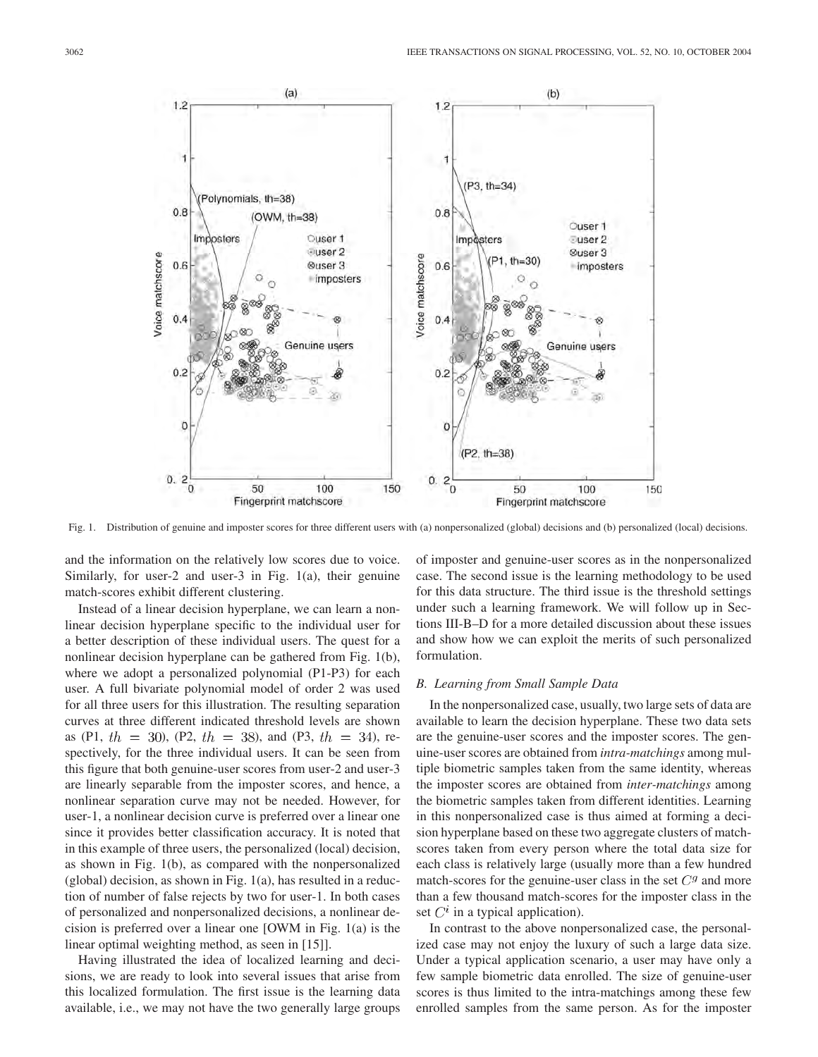

Fig. 1. Distribution of genuine and imposter scores for three different users with (a) nonpersonalized (global) decisions and (b) personalized (local) decisions.

and the information on the relatively low scores due to voice. Similarly, for user-2 and user-3 in Fig. 1(a), their genuine match-scores exhibit different clustering.

Instead of a linear decision hyperplane, we can learn a nonlinear decision hyperplane specific to the individual user for a better description of these individual users. The quest for a nonlinear decision hyperplane can be gathered from Fig. 1(b), where we adopt a personalized polynomial (P1-P3) for each user. A full bivariate polynomial model of order 2 was used for all three users for this illustration. The resulting separation curves at three different indicated threshold levels are shown as (P1,  $th = 30$ ), (P2,  $th = 38$ ), and (P3,  $th = 34$ ), respectively, for the three individual users. It can be seen from this figure that both genuine-user scores from user-2 and user-3 are linearly separable from the imposter scores, and hence, a nonlinear separation curve may not be needed. However, for user-1, a nonlinear decision curve is preferred over a linear one since it provides better classification accuracy. It is noted that in this example of three users, the personalized (local) decision, as shown in Fig. 1(b), as compared with the nonpersonalized (global) decision, as shown in Fig. 1(a), has resulted in a reduction of number of false rejects by two for user-1. In both cases of personalized and nonpersonalized decisions, a nonlinear decision is preferred over a linear one [OWM in Fig. 1(a) is the linear optimal weighting method, as seen in [15]].

Having illustrated the idea of localized learning and decisions, we are ready to look into several issues that arise from this localized formulation. The first issue is the learning data available, i.e., we may not have the two generally large groups of imposter and genuine-user scores as in the nonpersonalized case. The second issue is the learning methodology to be used for this data structure. The third issue is the threshold settings under such a learning framework. We will follow up in Sections III-B–D for a more detailed discussion about these issues and show how we can exploit the merits of such personalized formulation.

# *B. Learning from Small Sample Data*

In the nonpersonalized case, usually, two large sets of data are available to learn the decision hyperplane. These two data sets are the genuine-user scores and the imposter scores. The genuine-user scores are obtained from *intra-matchings* among multiple biometric samples taken from the same identity, whereas the imposter scores are obtained from *inter-matchings* among the biometric samples taken from different identities. Learning in this nonpersonalized case is thus aimed at forming a decision hyperplane based on these two aggregate clusters of matchscores taken from every person where the total data size for each class is relatively large (usually more than a few hundred match-scores for the genuine-user class in the set  $C<sup>g</sup>$  and more than a few thousand match-scores for the imposter class in the set  $C^i$  in a typical application).

In contrast to the above nonpersonalized case, the personalized case may not enjoy the luxury of such a large data size. Under a typical application scenario, a user may have only a few sample biometric data enrolled. The size of genuine-user scores is thus limited to the intra-matchings among these few enrolled samples from the same person. As for the imposter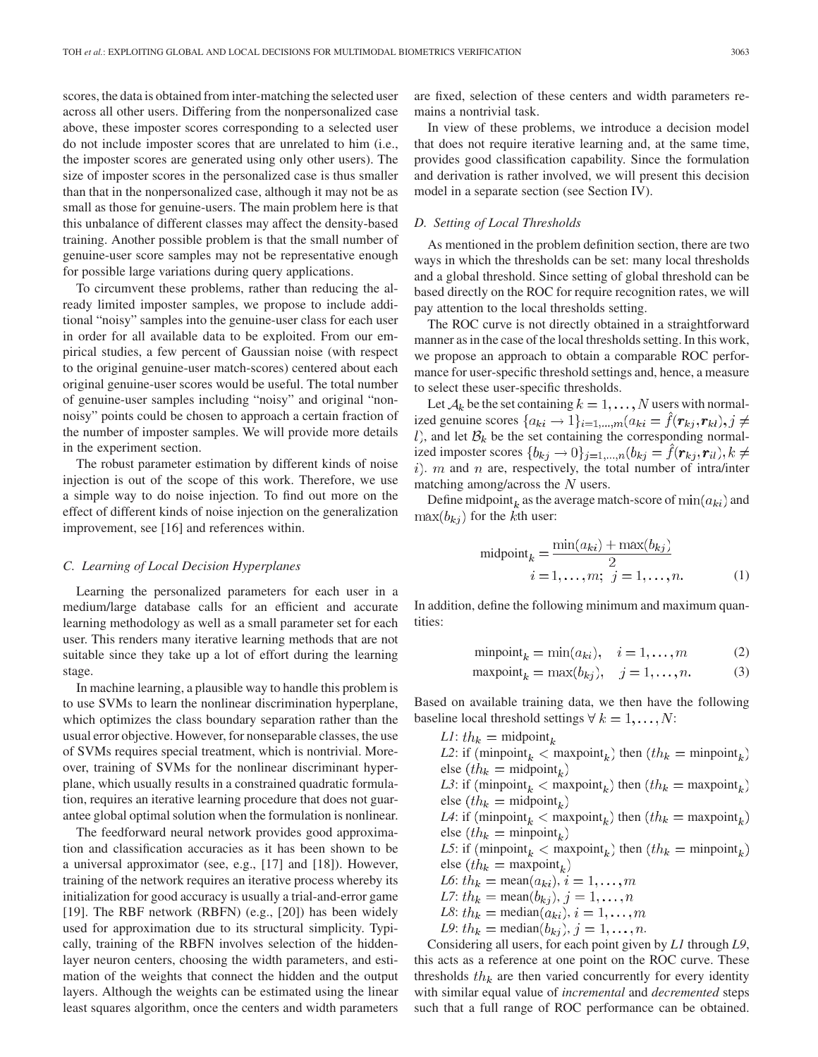scores, the data is obtained from inter-matching the selected user across all other users. Differing from the nonpersonalized case above, these imposter scores corresponding to a selected user do not include imposter scores that are unrelated to him (i.e., the imposter scores are generated using only other users). The size of imposter scores in the personalized case is thus smaller than that in the nonpersonalized case, although it may not be as small as those for genuine-users. The main problem here is that this unbalance of different classes may affect the density-based training. Another possible problem is that the small number of genuine-user score samples may not be representative enough for possible large variations during query applications.

To circumvent these problems, rather than reducing the already limited imposter samples, we propose to include additional "noisy" samples into the genuine-user class for each user in order for all available data to be exploited. From our empirical studies, a few percent of Gaussian noise (with respect to the original genuine-user match-scores) centered about each original genuine-user scores would be useful. The total number of genuine-user samples including "noisy" and original "nonnoisy" points could be chosen to approach a certain fraction of the number of imposter samples. We will provide more details in the experiment section.

The robust parameter estimation by different kinds of noise injection is out of the scope of this work. Therefore, we use a simple way to do noise injection. To find out more on the effect of different kinds of noise injection on the generalization improvement, see [16] and references within.

#### *C. Learning of Local Decision Hyperplanes*

Learning the personalized parameters for each user in a medium/large database calls for an efficient and accurate learning methodology as well as a small parameter set for each user. This renders many iterative learning methods that are not suitable since they take up a lot of effort during the learning stage.

In machine learning, a plausible way to handle this problem is to use SVMs to learn the nonlinear discrimination hyperplane, which optimizes the class boundary separation rather than the usual error objective. However, for nonseparable classes, the use of SVMs requires special treatment, which is nontrivial. Moreover, training of SVMs for the nonlinear discriminant hyperplane, which usually results in a constrained quadratic formulation, requires an iterative learning procedure that does not guarantee global optimal solution when the formulation is nonlinear.

The feedforward neural network provides good approximation and classification accuracies as it has been shown to be a universal approximator (see, e.g., [17] and [18]). However, training of the network requires an iterative process whereby its initialization for good accuracy is usually a trial-and-error game [19]. The RBF network (RBFN) (e.g., [20]) has been widely used for approximation due to its structural simplicity. Typically, training of the RBFN involves selection of the hiddenlayer neuron centers, choosing the width parameters, and estimation of the weights that connect the hidden and the output layers. Although the weights can be estimated using the linear least squares algorithm, once the centers and width parameters

are fixed, selection of these centers and width parameters remains a nontrivial task.

In view of these problems, we introduce a decision model that does not require iterative learning and, at the same time, provides good classification capability. Since the formulation and derivation is rather involved, we will present this decision model in a separate section (see Section IV).

## *D. Setting of Local Thresholds*

As mentioned in the problem definition section, there are two ways in which the thresholds can be set: many local thresholds and a global threshold. Since setting of global threshold can be based directly on the ROC for require recognition rates, we will pay attention to the local thresholds setting.

The ROC curve is not directly obtained in a straightforward manner as in the case of the local thresholds setting. In this work, we propose an approach to obtain a comparable ROC performance for user-specific threshold settings and, hence, a measure to select these user-specific thresholds.

Let  $A_k$  be the set containing  $k = 1, \ldots, N$  users with normalized genuine scores  $\{a_{ki} \rightarrow 1\}_{i=1,...,m} (a_{ki} = \hat{f}(r_{ki}, r_{kl}), j \neq j)$ l), and let  $\mathcal{B}_k$  be the set containing the corresponding normalized imposter scores  ${b_{kj} \rightarrow 0}$   $_{j=1,...,n}$   $(b_{kj} = f(r_{kj}, r_{il}), k \neq j$  $i$ ).  $m$  and  $n$  are, respectively, the total number of intra/inter matching among/across the  $N$  users.

Define midpoint<sub>k</sub> as the average match-score of  $min(a_{ki})$  and  $max(b_{ki})$  for the kth user:

$$
\text{midpoint}_k = \frac{\min(a_{ki}) + \max(b_{kj})}{2}
$$
  

$$
i = 1, \dots, m; \quad j = 1, \dots, n. \tag{1}
$$

In addition, define the following minimum and maximum quantities:

$$
minpoint_k = min(a_{ki}), \quad i = 1, \dots, m \tag{2}
$$

$$
\text{maxpoint}_k = \text{max}(b_{kj}), \quad j = 1, \dots, n. \tag{3}
$$

Based on available training data, we then have the following baseline local threshold settings  $\forall k = 1, \ldots, N$ :

*L1*:  $th_k$  = midpoint<sub>k</sub> *L2*: if  $(\text{minpoint}_k < \text{maxpoint}_k)$  then  $(th_k = \text{minpoint}_k)$ else  $(th_k = midpoint_k)$ *L3*: if (minpoint<sub>k</sub> < maxpoint<sub>k</sub>) then  $(th_k = \text{maxpoint}_k)$ else  $(th_k = midpoint_k)$ *L4*: if (minpoint<sub>k</sub> < maxpoint<sub>k</sub>) then  $(th_k = \text{maxpoint}_k)$ else  $(th_k = \text{minpoint}_k)$ *L5*: if  $(\text{minpoint}_k < \text{maxpoint}_k)$  then  $(th_k = \text{minpoint}_k)$ else  $(th_k = \text{maxpoint}_k)$ *L6*:  $th_k = \text{mean}(a_{ki}), i = 1, \ldots, m$ *L7*:  $th_k = \text{mean}(b_{ki}), j = 1, ..., n$ *L8*:  $th_k$  = median( $a_{ki}$ ),  $i = 1, ..., m$ *L9*:  $th_k$  = median( $b_{ki}$ ),  $j = 1, \ldots, n$ .

Considering all users, for each point given by *L1* through *L9*, this acts as a reference at one point on the ROC curve. These thresholds  $th_k$  are then varied concurrently for every identity with similar equal value of *incremental* and *decremented* steps such that a full range of ROC performance can be obtained.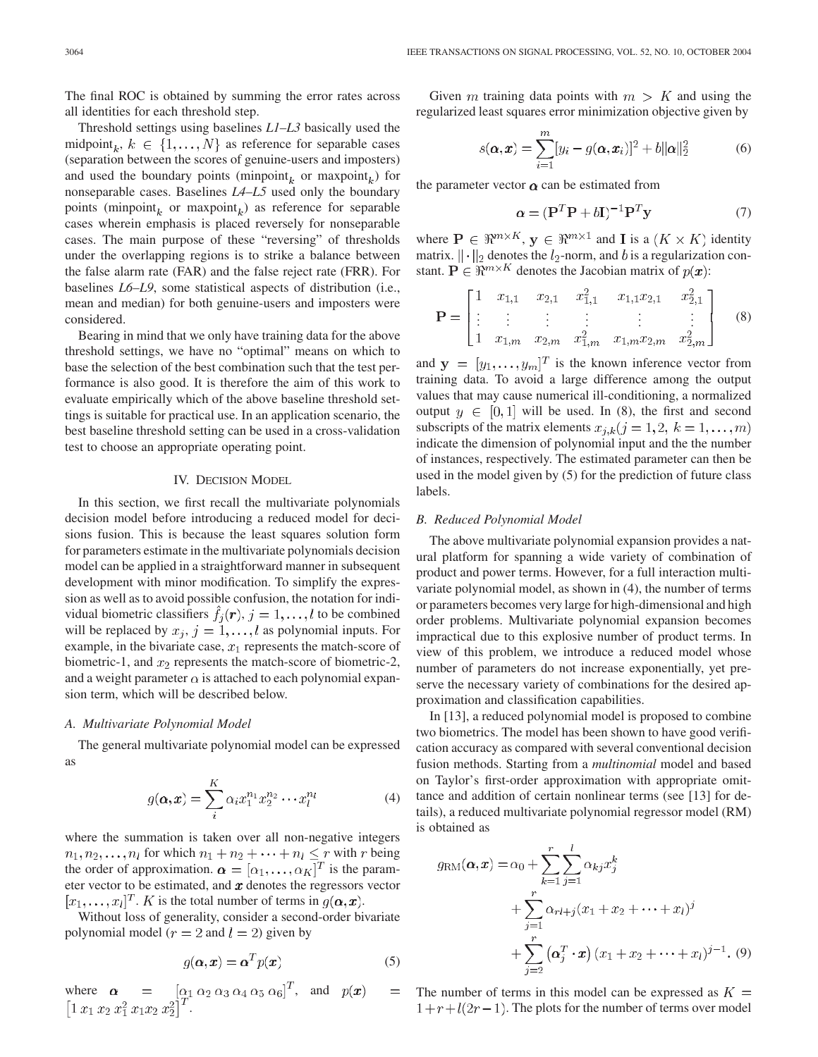The final ROC is obtained by summing the error rates across all identities for each threshold step.

Threshold settings using baselines *L1*–*L3* basically used the midpoint<sub>k</sub>,  $k \in \{1, ..., N\}$  as reference for separable cases (separation between the scores of genuine-users and imposters) and used the boundary points (minpoint<sub>k</sub> or maxpoint<sub>k</sub>) for nonseparable cases. Baselines *L4*–*L5* used only the boundary points (minpoint<sub>k</sub> or maxpoint<sub>k</sub>) as reference for separable cases wherein emphasis is placed reversely for nonseparable cases. The main purpose of these "reversing" of thresholds under the overlapping regions is to strike a balance between the false alarm rate (FAR) and the false reject rate (FRR). For baselines *L6*–*L9*, some statistical aspects of distribution (i.e., mean and median) for both genuine-users and imposters were considered.

Bearing in mind that we only have training data for the above threshold settings, we have no "optimal" means on which to base the selection of the best combination such that the test performance is also good. It is therefore the aim of this work to evaluate empirically which of the above baseline threshold settings is suitable for practical use. In an application scenario, the best baseline threshold setting can be used in a cross-validation test to choose an appropriate operating point.

## IV. DECISION MODEL

In this section, we first recall the multivariate polynomials decision model before introducing a reduced model for decisions fusion. This is because the least squares solution form for parameters estimate in the multivariate polynomials decision model can be applied in a straightforward manner in subsequent development with minor modification. To simplify the expression as well as to avoid possible confusion, the notation for individual biometric classifiers  $f_i(\mathbf{r}), j = 1, \ldots, l$  to be combined will be replaced by  $x_j$ ,  $j = 1, \ldots, l$  as polynomial inputs. For example, in the bivariate case,  $x_1$  represents the match-score of biometric-1, and  $x_2$  represents the match-score of biometric-2, and a weight parameter  $\alpha$  is attached to each polynomial expansion term, which will be described below.

#### *A. Multivariate Polynomial Model*

The general multivariate polynomial model can be expressed as

$$
g(\boldsymbol{\alpha}, \boldsymbol{x}) = \sum_{i}^{K} \alpha_i x_1^{n_1} x_2^{n_2} \cdots x_l^{n_l}
$$
 (4)

where the summation is taken over all non-negative integers  $n_1, n_2, \ldots, n_l$  for which  $n_1 + n_2 + \cdots + n_l \leq r$  with r being the order of approximation.  $\boldsymbol{\alpha} = [\alpha_1, \dots, \alpha_K]^T$  is the parameter vector to be estimated, and  $x$  denotes the regressors vector  $[x_1, \ldots, x_l]^T$ . K is the total number of terms in  $q(\alpha, x)$ .

Without loss of generality, consider a second-order bivariate polynomial model ( $r = 2$  and  $l = 2$ ) given by

$$
g(\boldsymbol{\alpha}, \boldsymbol{x}) = \boldsymbol{\alpha}^T p(\boldsymbol{x}) \tag{5}
$$

where  $\alpha = [\alpha_1 \alpha_2 \alpha_3 \alpha_4 \alpha_5 \alpha_6]^T$ , and  $=$ .

Given m training data points with  $m > K$  and using the regularized least squares error minimization objective given by

$$
s(\boldsymbol{\alpha}, \boldsymbol{x}) = \sum_{i=1}^{m} [y_i - g(\boldsymbol{\alpha}, \boldsymbol{x}_i)]^2 + b||\boldsymbol{\alpha}||_2^2
$$
 (6)

the parameter vector  $\alpha$  can be estimated from

$$
\alpha = (\mathbf{P}^T \mathbf{P} + b\mathbf{I})^{-1} \mathbf{P}^T \mathbf{y} \tag{7}
$$

where  $P \in \mathbb{R}^{m \times K}$ ,  $y \in \mathbb{R}^{m \times 1}$  and **I** is a  $(K \times K)$  identity matrix.  $\|\cdot\|_2$  denotes the  $l_2$ -norm, and b is a regularization constant.  $P \in \mathbb{R}^{m \times K}$  denotes the Jacobian matrix of  $p(\boldsymbol{x})$ :

$$
\mathbf{P} = \begin{bmatrix} 1 & x_{1,1} & x_{2,1} & x_{1,1}^2 & x_{1,1}x_{2,1} & x_{2,1}^2 \\ \vdots & \vdots & \vdots & \vdots & \vdots & \vdots \\ 1 & x_{1,m} & x_{2,m} & x_{1,m}^2 & x_{1,m}x_{2,m} & x_{2,m}^2 \end{bmatrix}
$$
 (8)

and  $\mathbf{y} = [y_1, \dots, y_m]^T$  is the known inference vector from training data. To avoid a large difference among the output values that may cause numerical ill-conditioning, a normalized output  $y \in [0,1]$  will be used. In (8), the first and second subscripts of the matrix elements  $x_{j,k}(j = 1, 2, k = 1, ..., m)$ indicate the dimension of polynomial input and the the number of instances, respectively. The estimated parameter can then be used in the model given by (5) for the prediction of future class labels.

#### *B. Reduced Polynomial Model*

The above multivariate polynomial expansion provides a natural platform for spanning a wide variety of combination of product and power terms. However, for a full interaction multivariate polynomial model, as shown in (4), the number of terms or parameters becomes very large for high-dimensional and high order problems. Multivariate polynomial expansion becomes impractical due to this explosive number of product terms. In view of this problem, we introduce a reduced model whose number of parameters do not increase exponentially, yet preserve the necessary variety of combinations for the desired approximation and classification capabilities.

In [13], a reduced polynomial model is proposed to combine two biometrics. The model has been shown to have good verification accuracy as compared with several conventional decision fusion methods. Starting from a *multinomial* model and based on Taylor's first-order approximation with appropriate omittance and addition of certain nonlinear terms (see [13] for details), a reduced multivariate polynomial regressor model (RM) is obtained as

$$
g_{\rm RM}(\alpha, x) = \alpha_0 + \sum_{k=1}^r \sum_{j=1}^l \alpha_{kj} x_j^k
$$
  
+ 
$$
\sum_{j=1}^r \alpha_{rl+j} (x_1 + x_2 + \dots + x_l)^j
$$
  
+ 
$$
\sum_{j=2}^r (\alpha_j^T \cdot x) (x_1 + x_2 + \dots + x_l)^{j-1}.
$$
 (9)

The number of terms in this model can be expressed as  $K =$  $1 + r + l(2r - 1)$ . The plots for the number of terms over model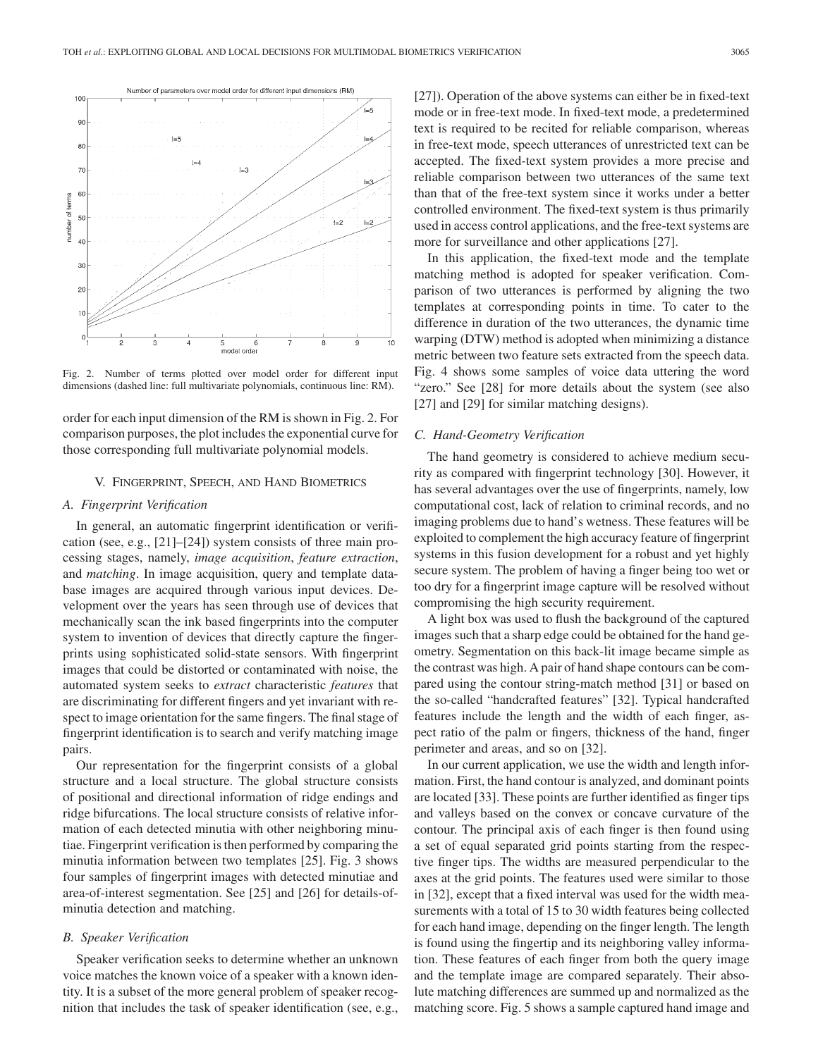

Fig. 2. Number of terms plotted over model order for different input dimensions (dashed line: full multivariate polynomials, continuous line: RM).

order for each input dimension of the RM is shown in Fig. 2. For comparison purposes, the plot includes the exponential curve for those corresponding full multivariate polynomial models.

## V. FINGERPRINT, SPEECH, AND HAND BIOMETRICS

#### *A. Fingerprint Verification*

In general, an automatic fingerprint identification or verification (see, e.g., [21]–[24]) system consists of three main processing stages, namely, *image acquisition*, *feature extraction*, and *matching*. In image acquisition, query and template database images are acquired through various input devices. Development over the years has seen through use of devices that mechanically scan the ink based fingerprints into the computer system to invention of devices that directly capture the fingerprints using sophisticated solid-state sensors. With fingerprint images that could be distorted or contaminated with noise, the automated system seeks to *extract* characteristic *features* that are discriminating for different fingers and yet invariant with respect to image orientation for the same fingers. The final stage of fingerprint identification is to search and verify matching image pairs.

Our representation for the fingerprint consists of a global structure and a local structure. The global structure consists of positional and directional information of ridge endings and ridge bifurcations. The local structure consists of relative information of each detected minutia with other neighboring minutiae. Fingerprint verification is then performed by comparing the minutia information between two templates [25]. Fig. 3 shows four samples of fingerprint images with detected minutiae and area-of-interest segmentation. See [25] and [26] for details-ofminutia detection and matching.

# *B. Speaker Verification*

Speaker verification seeks to determine whether an unknown voice matches the known voice of a speaker with a known identity. It is a subset of the more general problem of speaker recognition that includes the task of speaker identification (see, e.g.,

[27]). Operation of the above systems can either be in fixed-text mode or in free-text mode. In fixed-text mode, a predetermined text is required to be recited for reliable comparison, whereas in free-text mode, speech utterances of unrestricted text can be accepted. The fixed-text system provides a more precise and reliable comparison between two utterances of the same text than that of the free-text system since it works under a better controlled environment. The fixed-text system is thus primarily used in access control applications, and the free-text systems are more for surveillance and other applications [27].

In this application, the fixed-text mode and the template matching method is adopted for speaker verification. Comparison of two utterances is performed by aligning the two templates at corresponding points in time. To cater to the difference in duration of the two utterances, the dynamic time warping (DTW) method is adopted when minimizing a distance metric between two feature sets extracted from the speech data. Fig. 4 shows some samples of voice data uttering the word "zero." See [28] for more details about the system (see also [27] and [29] for similar matching designs).

#### *C. Hand-Geometry Verification*

The hand geometry is considered to achieve medium security as compared with fingerprint technology [30]. However, it has several advantages over the use of fingerprints, namely, low computational cost, lack of relation to criminal records, and no imaging problems due to hand's wetness. These features will be exploited to complement the high accuracy feature of fingerprint systems in this fusion development for a robust and yet highly secure system. The problem of having a finger being too wet or too dry for a fingerprint image capture will be resolved without compromising the high security requirement.

A light box was used to flush the background of the captured images such that a sharp edge could be obtained for the hand geometry. Segmentation on this back-lit image became simple as the contrast was high. A pair of hand shape contours can be compared using the contour string-match method [31] or based on the so-called "handcrafted features" [32]. Typical handcrafted features include the length and the width of each finger, aspect ratio of the palm or fingers, thickness of the hand, finger perimeter and areas, and so on [32].

In our current application, we use the width and length information. First, the hand contour is analyzed, and dominant points are located [33]. These points are further identified as finger tips and valleys based on the convex or concave curvature of the contour. The principal axis of each finger is then found using a set of equal separated grid points starting from the respective finger tips. The widths are measured perpendicular to the axes at the grid points. The features used were similar to those in [32], except that a fixed interval was used for the width measurements with a total of 15 to 30 width features being collected for each hand image, depending on the finger length. The length is found using the fingertip and its neighboring valley information. These features of each finger from both the query image and the template image are compared separately. Their absolute matching differences are summed up and normalized as the matching score. Fig. 5 shows a sample captured hand image and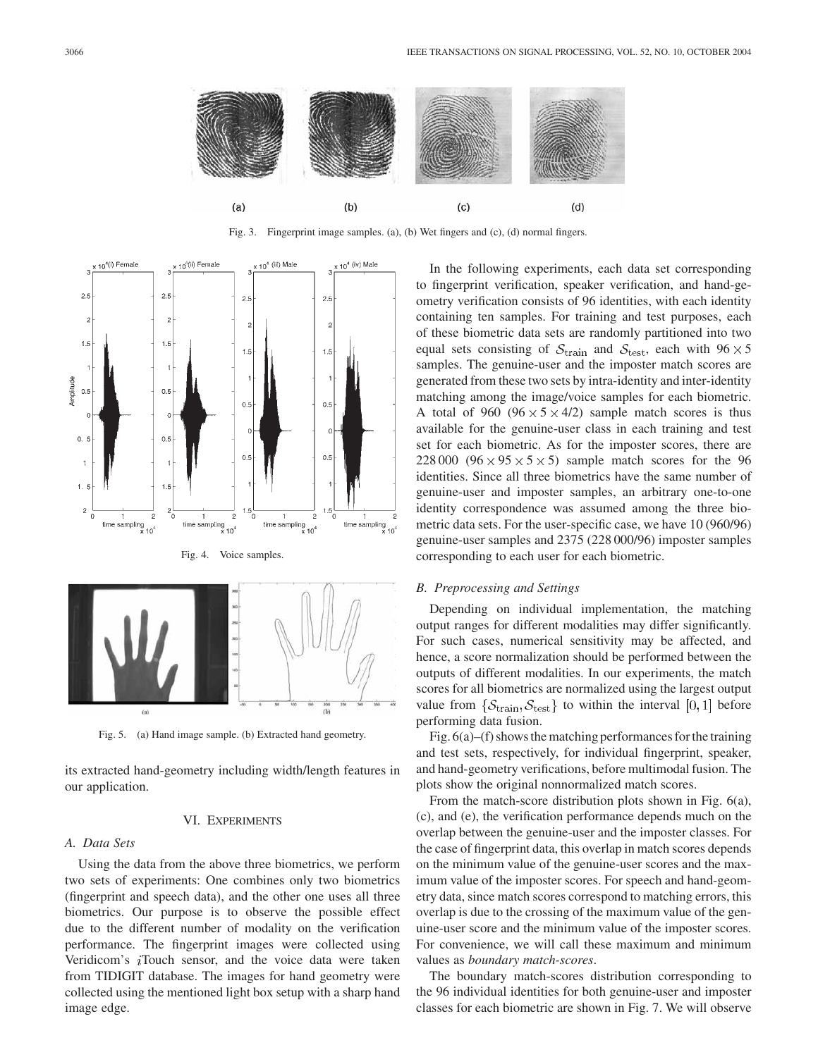

Fig. 3. Fingerprint image samples. (a), (b) Wet fingers and (c), (d) normal fingers.



Fig. 5. (a) Hand image sample. (b) Extracted hand geometry.

its extracted hand-geometry including width/length features in our application.

## VI. EXPERIMENTS

## *A. Data Sets*

Using the data from the above three biometrics, we perform two sets of experiments: One combines only two biometrics (fingerprint and speech data), and the other one uses all three biometrics. Our purpose is to observe the possible effect due to the different number of modality on the verification performance. The fingerprint images were collected using Veridicom's *i*Touch sensor, and the voice data were taken from TIDIGIT database. The images for hand geometry were collected using the mentioned light box setup with a sharp hand image edge.

In the following experiments, each data set corresponding to fingerprint verification, speaker verification, and hand-geometry verification consists of 96 identities, with each identity containing ten samples. For training and test purposes, each of these biometric data sets are randomly partitioned into two equal sets consisting of  $S_{\text{train}}$  and  $S_{\text{test}}$ , each with  $96 \times 5$ samples. The genuine-user and the imposter match scores are generated from these two sets by intra-identity and inter-identity matching among the image/voice samples for each biometric. A total of 960 (96  $\times$  5  $\times$  4/2) sample match scores is thus available for the genuine-user class in each training and test set for each biometric. As for the imposter scores, there are 228 000  $(96 \times 95 \times 5 \times 5)$  sample match scores for the 96 identities. Since all three biometrics have the same number of genuine-user and imposter samples, an arbitrary one-to-one identity correspondence was assumed among the three biometric data sets. For the user-specific case, we have 10 (960/96) genuine-user samples and 2375 (228 000/96) imposter samples corresponding to each user for each biometric.

# *B. Preprocessing and Settings*

Depending on individual implementation, the matching output ranges for different modalities may differ significantly. For such cases, numerical sensitivity may be affected, and hence, a score normalization should be performed between the outputs of different modalities. In our experiments, the match scores for all biometrics are normalized using the largest output value from  $\{S_{\text{train}}, S_{\text{test}}\}$  to within the interval [0, 1] before performing data fusion.

Fig. 6(a)–(f) shows the matching performances for the training and test sets, respectively, for individual fingerprint, speaker, and hand-geometry verifications, before multimodal fusion. The plots show the original nonnormalized match scores.

From the match-score distribution plots shown in Fig. 6(a), (c), and (e), the verification performance depends much on the overlap between the genuine-user and the imposter classes. For the case of fingerprint data, this overlap in match scores depends on the minimum value of the genuine-user scores and the maximum value of the imposter scores. For speech and hand-geometry data, since match scores correspond to matching errors, this overlap is due to the crossing of the maximum value of the genuine-user score and the minimum value of the imposter scores. For convenience, we will call these maximum and minimum values as *boundary match-scores*.

The boundary match-scores distribution corresponding to the 96 individual identities for both genuine-user and imposter classes for each biometric are shown in Fig. 7. We will observe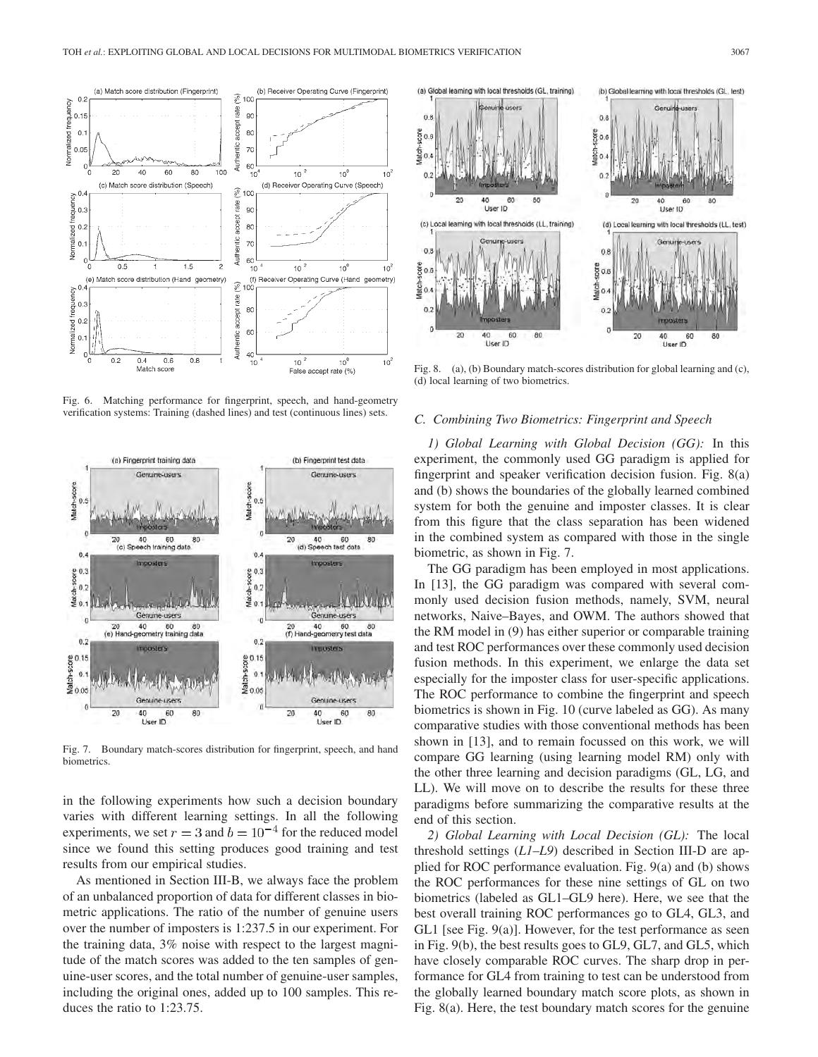

Fig. 6. Matching performance for fingerprint, speech, and hand-geometry verification systems: Training (dashed lines) and test (continuous lines) sets.



Fig. 7. Boundary match-scores distribution for fingerprint, speech, and hand biometrics.

in the following experiments how such a decision boundary varies with different learning settings. In all the following experiments, we set  $r = 3$  and  $b = 10^{-4}$  for the reduced model since we found this setting produces good training and test results from our empirical studies.

As mentioned in Section III-B, we always face the problem of an unbalanced proportion of data for different classes in biometric applications. The ratio of the number of genuine users over the number of imposters is 1:237.5 in our experiment. For the training data, 3% noise with respect to the largest magnitude of the match scores was added to the ten samples of genuine-user scores, and the total number of genuine-user samples, including the original ones, added up to 100 samples. This reduces the ratio to 1:23.75.



Fig. 8. (a), (b) Boundary match-scores distribution for global learning and (c), (d) local learning of two biometrics.

## *C. Combining Two Biometrics: Fingerprint and Speech*

*1) Global Learning with Global Decision (GG):* In this experiment, the commonly used GG paradigm is applied for fingerprint and speaker verification decision fusion. Fig. 8(a) and (b) shows the boundaries of the globally learned combined system for both the genuine and imposter classes. It is clear from this figure that the class separation has been widened in the combined system as compared with those in the single biometric, as shown in Fig. 7.

The GG paradigm has been employed in most applications. In [13], the GG paradigm was compared with several commonly used decision fusion methods, namely, SVM, neural networks, Naive–Bayes, and OWM. The authors showed that the RM model in (9) has either superior or comparable training and test ROC performances over these commonly used decision fusion methods. In this experiment, we enlarge the data set especially for the imposter class for user-specific applications. The ROC performance to combine the fingerprint and speech biometrics is shown in Fig. 10 (curve labeled as GG). As many comparative studies with those conventional methods has been shown in [13], and to remain focussed on this work, we will compare GG learning (using learning model RM) only with the other three learning and decision paradigms (GL, LG, and LL). We will move on to describe the results for these three paradigms before summarizing the comparative results at the end of this section.

*2) Global Learning with Local Decision (GL):* The local threshold settings (*L1*–*L9*) described in Section III-D are applied for ROC performance evaluation. Fig. 9(a) and (b) shows the ROC performances for these nine settings of GL on two biometrics (labeled as GL1–GL9 here). Here, we see that the best overall training ROC performances go to GL4, GL3, and GL1 [see Fig. 9(a)]. However, for the test performance as seen in Fig. 9(b), the best results goes to GL9, GL7, and GL5, which have closely comparable ROC curves. The sharp drop in performance for GL4 from training to test can be understood from the globally learned boundary match score plots, as shown in Fig. 8(a). Here, the test boundary match scores for the genuine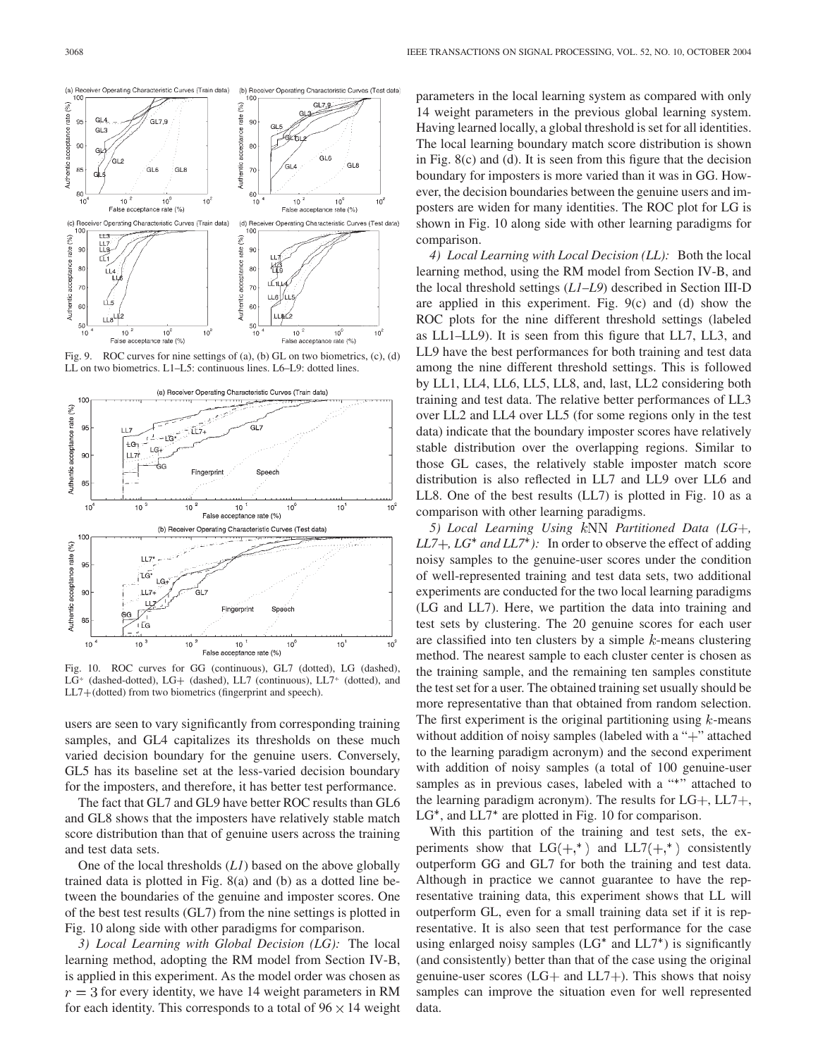

Fig. 9. ROC curves for nine settings of (a), (b) GL on two biometrics, (c), (d) LL on two biometrics. L1–L5: continuous lines. L6–L9: dotted lines.



Fig. 10. ROC curves for GG (continuous), GL7 (dotted), LG (dashed),  $LG^*$  (dashed-dotted),  $LG+$  (dashed), LL7 (continuous), LL7<sup>\*</sup> (dotted), and  $LL7 + (dotted)$  from two biometrics (fingerprint and speech).

users are seen to vary significantly from corresponding training samples, and GL4 capitalizes its thresholds on these much varied decision boundary for the genuine users. Conversely, GL5 has its baseline set at the less-varied decision boundary for the imposters, and therefore, it has better test performance.

The fact that GL7 and GL9 have better ROC results than GL6 and GL8 shows that the imposters have relatively stable match score distribution than that of genuine users across the training and test data sets.

One of the local thresholds (*L1*) based on the above globally trained data is plotted in Fig. 8(a) and (b) as a dotted line between the boundaries of the genuine and imposter scores. One of the best test results (GL7) from the nine settings is plotted in Fig. 10 along side with other paradigms for comparison.

*3) Local Learning with Global Decision (LG):* The local learning method, adopting the RM model from Section IV-B, is applied in this experiment. As the model order was chosen as  $r = 3$  for every identity, we have 14 weight parameters in RM for each identity. This corresponds to a total of  $96 \times 14$  weight

parameters in the local learning system as compared with only 14 weight parameters in the previous global learning system. Having learned locally, a global threshold is set for all identities. The local learning boundary match score distribution is shown in Fig. 8(c) and (d). It is seen from this figure that the decision boundary for imposters is more varied than it was in GG. However, the decision boundaries between the genuine users and imposters are widen for many identities. The ROC plot for LG is shown in Fig. 10 along side with other learning paradigms for comparison.

*4) Local Learning with Local Decision (LL):* Both the local learning method, using the RM model from Section IV-B, and the local threshold settings (*L1*–*L9*) described in Section III-D are applied in this experiment. Fig. 9(c) and (d) show the ROC plots for the nine different threshold settings (labeled as LL1–LL9). It is seen from this figure that LL7, LL3, and LL9 have the best performances for both training and test data among the nine different threshold settings. This is followed by LL1, LL4, LL6, LL5, LL8, and, last, LL2 considering both training and test data. The relative better performances of LL3 over LL2 and LL4 over LL5 (for some regions only in the test data) indicate that the boundary imposter scores have relatively stable distribution over the overlapping regions. Similar to those GL cases, the relatively stable imposter match score distribution is also reflected in LL7 and LL9 over LL6 and LL8. One of the best results (LL7) is plotted in Fig. 10 as a comparison with other learning paradigms.

5) Local Learning Using  $kNN$  Partitioned Data (LG+,  $LL7+$ ,  $LG^*$  and  $LL7^*$ ): In order to observe the effect of adding noisy samples to the genuine-user scores under the condition of well-represented training and test data sets, two additional experiments are conducted for the two local learning paradigms (LG and LL7). Here, we partition the data into training and test sets by clustering. The 20 genuine scores for each user are classified into ten clusters by a simple  $k$ -means clustering method. The nearest sample to each cluster center is chosen as the training sample, and the remaining ten samples constitute the test set for a user. The obtained training set usually should be more representative than that obtained from random selection. The first experiment is the original partitioning using  $k$ -means without addition of noisy samples (labeled with a " $+$ " attached to the learning paradigm acronym) and the second experiment with addition of noisy samples (a total of 100 genuine-user samples as in previous cases, labeled with a "\*" attached to the learning paradigm acronym). The results for  $LG+$ ,  $LL7+$ ,  $LG^*$ , and  $LL7^*$  are plotted in Fig. 10 for comparison.

With this partition of the training and test sets, the experiments show that  $LG(+,^*)$  and  $LL7(+,^*)$  consistently outperform GG and GL7 for both the training and test data. Although in practice we cannot guarantee to have the representative training data, this experiment shows that LL will outperform GL, even for a small training data set if it is representative. It is also seen that test performance for the case using enlarged noisy samples  $(LG^*)$  and  $LL7^*$ ) is significantly (and consistently) better than that of the case using the original genuine-user scores  $(LG+$  and  $LL7+$ ). This shows that noisy samples can improve the situation even for well represented data.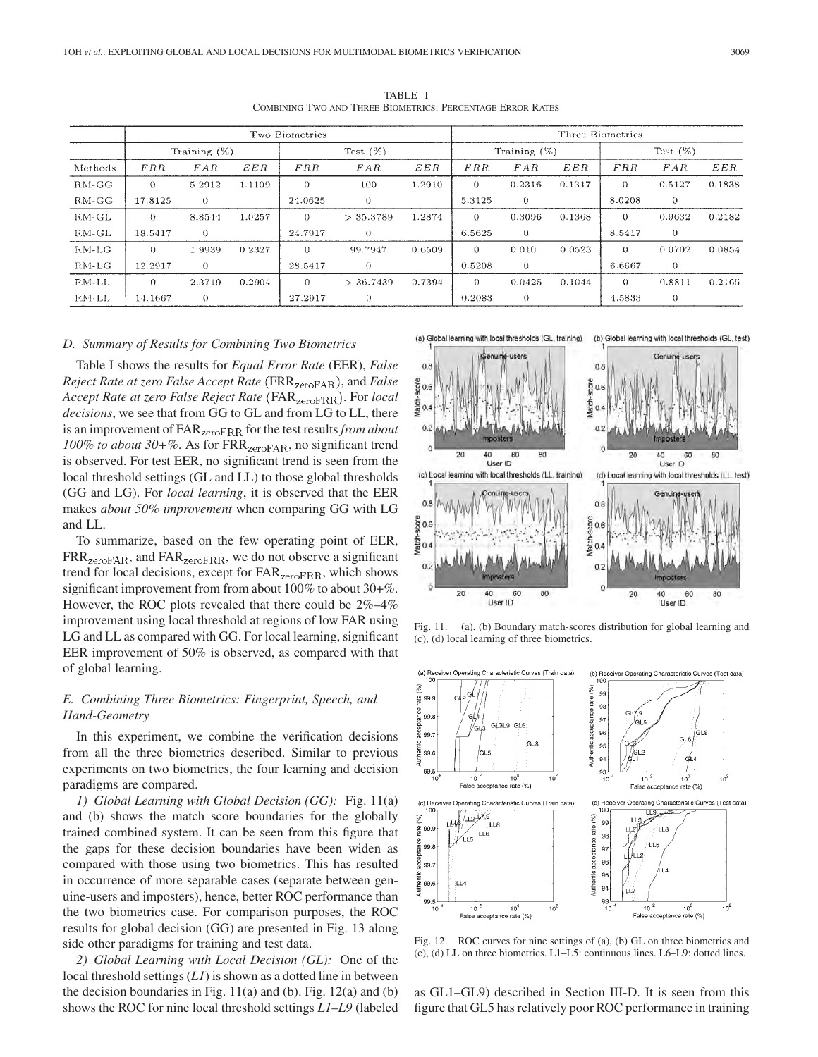|         | Two Biometrics     |                 |        |          |             |        | Three Biometrics |                 |        |            |             |        |
|---------|--------------------|-----------------|--------|----------|-------------|--------|------------------|-----------------|--------|------------|-------------|--------|
|         |                    | Training $(\%)$ |        |          | Test $(\%)$ |        |                  | Training $(\%)$ |        |            | Test $(\%)$ |        |
| Methods | FRR                | FAR             | EER    | FRR      | FAR         | EER    | FRR              | FAR             | EER    | FRR        | FAR         | EER    |
| $RM-GG$ | $\Omega$           | 5.2912          | 1.1109 | $\Omega$ | 100         | 1.2910 | $\left( \right)$ | 0.2316          | 0.1317 | $\Omega$   | 0.5127      | 0.1838 |
| $RM-GG$ | 17.8125            | $\theta$        |        | 24.0625  | $\theta$    |        | 5.3125           | $\Omega$        |        | 8.0208     | $\Omega$    |        |
| RM-GL   | $\left\{ \right\}$ | 8.8544          | 1.0257 | $\Omega$ | > 35.3789   | 1.2874 | $\Omega$         | 0.3096          | 0.1368 | $\Omega$   | 0.9632      | 0.2182 |
| $RM-GL$ | 18.5417            | $\theta$        |        | 24.7917  | $\Omega$    |        | 6.5625           | $\theta$        |        | 8.5417     | $\theta$    |        |
| $RM-LG$ | $\left( \right)$   | 1.9939          | 0.2327 | $\Omega$ | 99.7947     | 0.6509 | $\Omega$         | 0.0101          | 0.0523 | $\theta$   | 0.0702      | 0.0854 |
| $RM-LG$ | 12.2917            | $\Omega$        |        | 28.5417  | $\Omega$    |        | 0.5208           | $\theta$        |        | 6.6667     | $\Omega$    |        |
| $RM-LL$ | $\Omega$           | 2.3719          | 0.2904 | $\Omega$ | > 36.7439   | 0.7394 | $\Omega$         | 0.0425          | 0.1044 | $^{\circ}$ | 0.8811      | 0.2165 |
| RM-LL   | 14.1667            | $\Omega$        |        | 27.2917  | $\Omega$    |        | 0.2083           | $\Omega$        |        | 4.5833     | ()          |        |

TABLE I COMBINING TWO AND THREE BIOMETRICS: PERCENTAGE ERROR RATES

#### *D. Summary of Results for Combining Two Biometrics*

Table I shows the results for *Equal Error Rate* (EER), *False Reject Rate at zero False Accept Rate* (FRR<sub>zeroFAR</sub>), and *False Accept Rate at zero False Reject Rate* (FAR<sub>zeroFRR</sub>). For *local decisions*, we see that from GG to GL and from LG to LL, there is an improvement of FAR<sub>zeroFRR</sub> for the test results *from about 100% to about 30+%*. As for  $FRR_{\text{zeroFAR}}$ , no significant trend is observed. For test EER, no significant trend is seen from the local threshold settings (GL and LL) to those global thresholds (GG and LG). For *local learning*, it is observed that the EER makes *about 50% improvement* when comparing GG with LG and LL.

To summarize, based on the few operating point of EER,  $FRR_{\text{zeroFAR}}$ , and  $FAR_{\text{zeroFRR}}$ , we do not observe a significant trend for local decisions, except for FAR<sub>zeroFRR</sub>, which shows significant improvement from from about 100% to about 30+%. However, the ROC plots revealed that there could be 2%–4% improvement using local threshold at regions of low FAR using LG and LL as compared with GG. For local learning, significant EER improvement of 50% is observed, as compared with that of global learning.

# *E. Combining Three Biometrics: Fingerprint, Speech, and Hand-Geometry*

In this experiment, we combine the verification decisions from all the three biometrics described. Similar to previous experiments on two biometrics, the four learning and decision paradigms are compared.

*1) Global Learning with Global Decision (GG):* Fig. 11(a) and (b) shows the match score boundaries for the globally trained combined system. It can be seen from this figure that the gaps for these decision boundaries have been widen as compared with those using two biometrics. This has resulted in occurrence of more separable cases (separate between genuine-users and imposters), hence, better ROC performance than the two biometrics case. For comparison purposes, the ROC results for global decision (GG) are presented in Fig. 13 along side other paradigms for training and test data.

*2) Global Learning with Local Decision (GL):* One of the local threshold settings (*L1*) is shown as a dotted line in between the decision boundaries in Fig. 11(a) and (b). Fig. 12(a) and (b) shows the ROC for nine local threshold settings *L1*–*L9* (labeled

(a) Global learning with local thresholds (GL, training).

(b) Global learning with local thresholds (GL, test)



Fig. 11. (a), (b) Boundary match-scores distribution for global learning and (c), (d) local learning of three biometrics.



Fig. 12. ROC curves for nine settings of (a), (b) GL on three biometrics and (c), (d) LL on three biometrics. L1–L5: continuous lines. L6–L9: dotted lines.

as GL1–GL9) described in Section III-D. It is seen from this figure that GL5 has relatively poor ROC performance in training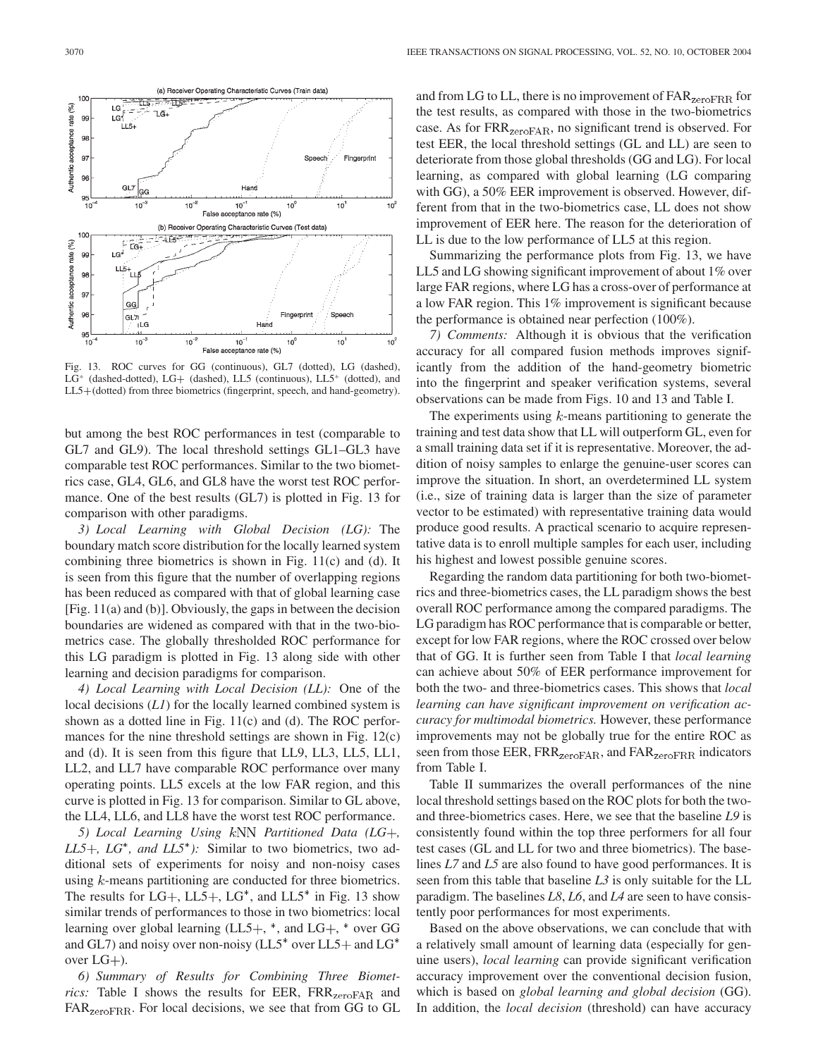

Fig. 13. ROC curves for GG (continuous), GL7 (dotted), LG (dashed), LG<sup>\*</sup> (dashed-dotted), LG+ (dashed), LL5 (continuous), LL5<sup>\*</sup> (dotted), and LL5+(dotted) from three biometrics (fingerprint, speech, and hand-geometry).

but among the best ROC performances in test (comparable to GL7 and GL9). The local threshold settings GL1–GL3 have comparable test ROC performances. Similar to the two biometrics case, GL4, GL6, and GL8 have the worst test ROC performance. One of the best results (GL7) is plotted in Fig. 13 for comparison with other paradigms.

*3) Local Learning with Global Decision (LG):* The boundary match score distribution for the locally learned system combining three biometrics is shown in Fig. 11(c) and (d). It is seen from this figure that the number of overlapping regions has been reduced as compared with that of global learning case [Fig. 11(a) and (b)]. Obviously, the gaps in between the decision boundaries are widened as compared with that in the two-biometrics case. The globally thresholded ROC performance for this LG paradigm is plotted in Fig. 13 along side with other learning and decision paradigms for comparison.

*4) Local Learning with Local Decision (LL):* One of the local decisions (*L1*) for the locally learned combined system is shown as a dotted line in Fig. 11(c) and (d). The ROC performances for the nine threshold settings are shown in Fig. 12(c) and (d). It is seen from this figure that LL9, LL3, LL5, LL1, LL2, and LL7 have comparable ROC performance over many operating points. LL5 excels at the low FAR region, and this curve is plotted in Fig. 13 for comparison. Similar to GL above, the LL4, LL6, and LL8 have the worst test ROC performance.

5) Local Learning Using  $kNN$  Partitioned Data (LG+, *LL5*  $+$ , *LG*<sup>\*</sup>, *and LL5*<sup>\*</sup>): Similar to two biometrics, two additional sets of experiments for noisy and non-noisy cases using  $k$ -means partitioning are conducted for three biometrics. The results for  $LG+$ ,  $LL5+$ ,  $LG^*$ , and  $LL5^*$  in Fig. 13 show similar trends of performances to those in two biometrics: local learning over global learning  $(LL5+, *, and LG+, * over GG)$ and GL7) and noisy over non-noisy ( $LL5^*$  over  $LL5+$  and  $LG^*$ over  $LG+$ ).

*6) Summary of Results for Combining Three Biometrics:* Table I shows the results for EER,  $FRR_{zeroFAR}$  and  $FAR<sub>zeroFRR</sub>$ . For local decisions, we see that from GG to GL

and from LG to LL, there is no improvement of  $FAR_{\text{zeroFRR}}$  for the test results, as compared with those in the two-biometrics case. As for  $FRR_{\text{zeroFAR}}$ , no significant trend is observed. For test EER, the local threshold settings (GL and LL) are seen to deteriorate from those global thresholds (GG and LG). For local learning, as compared with global learning (LG comparing with GG), a 50% EER improvement is observed. However, different from that in the two-biometrics case, LL does not show improvement of EER here. The reason for the deterioration of LL is due to the low performance of LL5 at this region.

Summarizing the performance plots from Fig. 13, we have LL5 and LG showing significant improvement of about 1% over large FAR regions, where LG has a cross-over of performance at a low FAR region. This 1% improvement is significant because the performance is obtained near perfection (100%).

*7) Comments:* Although it is obvious that the verification accuracy for all compared fusion methods improves significantly from the addition of the hand-geometry biometric into the fingerprint and speaker verification systems, several observations can be made from Figs. 10 and 13 and Table I.

The experiments using  $k$ -means partitioning to generate the training and test data show that LL will outperform GL, even for a small training data set if it is representative. Moreover, the addition of noisy samples to enlarge the genuine-user scores can improve the situation. In short, an overdetermined LL system (i.e., size of training data is larger than the size of parameter vector to be estimated) with representative training data would produce good results. A practical scenario to acquire representative data is to enroll multiple samples for each user, including his highest and lowest possible genuine scores.

Regarding the random data partitioning for both two-biometrics and three-biometrics cases, the LL paradigm shows the best overall ROC performance among the compared paradigms. The LG paradigm has ROC performance that is comparable or better, except for low FAR regions, where the ROC crossed over below that of GG. It is further seen from Table I that *local learning* can achieve about 50% of EER performance improvement for both the two- and three-biometrics cases. This shows that *local learning can have significant improvement on verification accuracy for multimodal biometrics.* However, these performance improvements may not be globally true for the entire ROC as seen from those EER,  $FRR_{zeroFAR}$ , and  $FAR_{zeroFRR}$  indicators from Table I.

Table II summarizes the overall performances of the nine local threshold settings based on the ROC plots for both the twoand three-biometrics cases. Here, we see that the baseline *L9* is consistently found within the top three performers for all four test cases (GL and LL for two and three biometrics). The baselines *L7* and *L5* are also found to have good performances. It is seen from this table that baseline *L3* is only suitable for the LL paradigm. The baselines *L8*, *L6*, and *L4* are seen to have consistently poor performances for most experiments.

Based on the above observations, we can conclude that with a relatively small amount of learning data (especially for genuine users), *local learning* can provide significant verification accuracy improvement over the conventional decision fusion, which is based on *global learning and global decision* (GG). In addition, the *local decision* (threshold) can have accuracy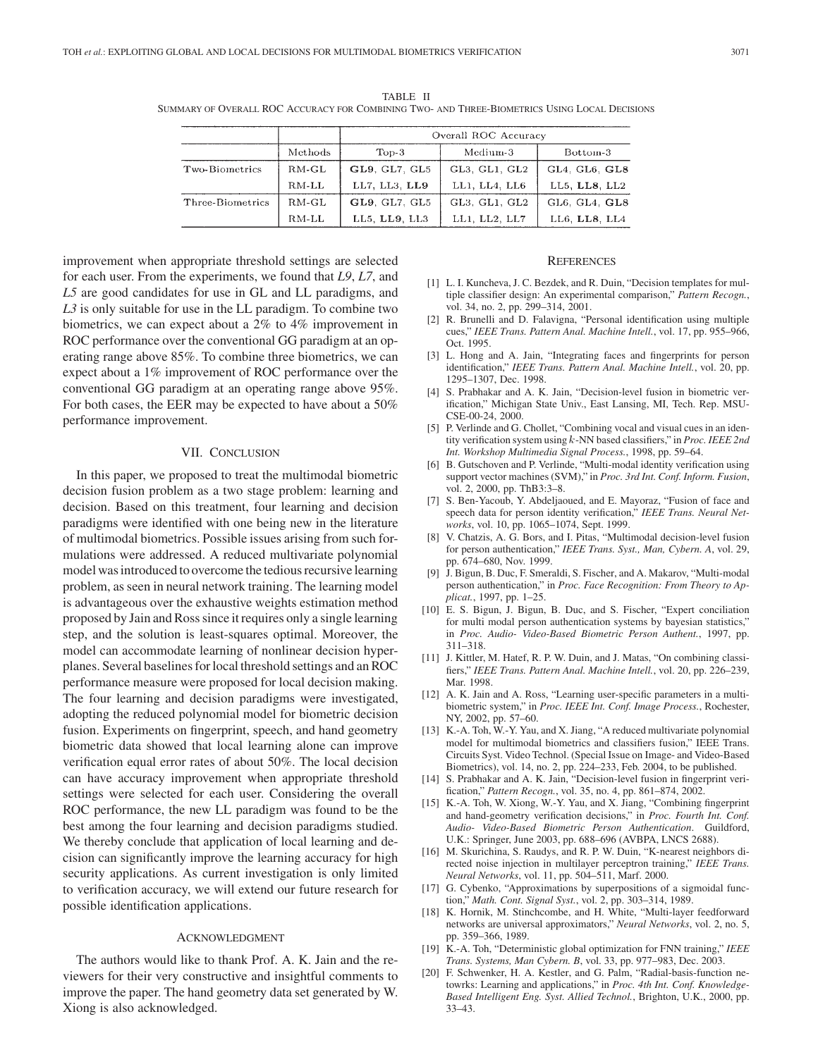TABLE II SUMMARY OF OVERALL ROC ACCURACY FOR COMBINING TWO- AND THREE-BIOMETRICS USING LOCAL DECISIONS

|                  |          | Overall ROC Accuracy |               |                       |  |  |  |  |
|------------------|----------|----------------------|---------------|-----------------------|--|--|--|--|
|                  | Methods. | $Top-3$              | Medium-3      | Bottom-3              |  |  |  |  |
| Two-Biometrics   | $RM-GL$  | GL9, GL7, GL5        | GL3, GL1, GL2 | GL4, GL6, GL8         |  |  |  |  |
|                  | $RM-L$   | LL7. LL3. LL9        | LL1, LL4. LL6 | LL5, LL8, LL2         |  |  |  |  |
| Three-Biometrics | $RM-GL$  | GL9, GL7, GL5        | GL3, GL1, GL2 | GL6, GL4, GL8         |  |  |  |  |
|                  | $RM-LL$  | LL5, LL9, LL3        | LL1, LL2, LL7 | $LL6$ , $LL8$ , $LL4$ |  |  |  |  |

improvement when appropriate threshold settings are selected for each user. From the experiments, we found that *L9*, *L7*, and *L5* are good candidates for use in GL and LL paradigms, and *L3* is only suitable for use in the LL paradigm. To combine two biometrics, we can expect about a 2% to 4% improvement in ROC performance over the conventional GG paradigm at an operating range above 85%. To combine three biometrics, we can expect about a 1% improvement of ROC performance over the conventional GG paradigm at an operating range above 95%. For both cases, the EER may be expected to have about a 50% performance improvement.

## VII. CONCLUSION

In this paper, we proposed to treat the multimodal biometric decision fusion problem as a two stage problem: learning and decision. Based on this treatment, four learning and decision paradigms were identified with one being new in the literature of multimodal biometrics. Possible issues arising from such formulations were addressed. A reduced multivariate polynomial model was introduced to overcome the tedious recursive learning problem, as seen in neural network training. The learning model is advantageous over the exhaustive weights estimation method proposed by Jain and Ross since it requires only a single learning step, and the solution is least-squares optimal. Moreover, the model can accommodate learning of nonlinear decision hyperplanes. Several baselines for local threshold settings and an ROC performance measure were proposed for local decision making. The four learning and decision paradigms were investigated, adopting the reduced polynomial model for biometric decision fusion. Experiments on fingerprint, speech, and hand geometry biometric data showed that local learning alone can improve verification equal error rates of about 50%. The local decision can have accuracy improvement when appropriate threshold settings were selected for each user. Considering the overall ROC performance, the new LL paradigm was found to be the best among the four learning and decision paradigms studied. We thereby conclude that application of local learning and decision can significantly improve the learning accuracy for high security applications. As current investigation is only limited to verification accuracy, we will extend our future research for possible identification applications.

## ACKNOWLEDGMENT

The authors would like to thank Prof. A. K. Jain and the reviewers for their very constructive and insightful comments to improve the paper. The hand geometry data set generated by W. Xiong is also acknowledged.

#### **REFERENCES**

- [1] L. I. Kuncheva, J. C. Bezdek, and R. Duin, "Decision templates for multiple classifier design: An experimental comparison," *Pattern Recogn.*, vol. 34, no. 2, pp. 299–314, 2001.
- [2] R. Brunelli and D. Falavigna, "Personal identification using multiple cues," *IEEE Trans. Pattern Anal. Machine Intell.*, vol. 17, pp. 955–966, Oct. 1995.
- [3] L. Hong and A. Jain, "Integrating faces and fingerprints for person identification," *IEEE Trans. Pattern Anal. Machine Intell.*, vol. 20, pp. 1295–1307, Dec. 1998.
- [4] S. Prabhakar and A. K. Jain, "Decision-level fusion in biometric verification," Michigan State Univ., East Lansing, MI, Tech. Rep. MSU-CSE-00-24, 2000.
- [5] P. Verlinde and G. Chollet, "Combining vocal and visual cues in an identity verification system using  $k$ -NN based classifiers," in *Proc. IEEE 2nd Int. Workshop Multimedia Signal Process.*, 1998, pp. 59–64.
- [6] B. Gutschoven and P. Verlinde, "Multi-modal identity verification using support vector machines (SVM)," in *Proc. 3rd Int. Conf. Inform. Fusion*, vol. 2, 2000, pp. ThB3:3–8.
- [7] S. Ben-Yacoub, Y. Abdeljaoued, and E. Mayoraz, "Fusion of face and speech data for person identity verification," *IEEE Trans. Neural Networks*, vol. 10, pp. 1065–1074, Sept. 1999.
- [8] V. Chatzis, A. G. Bors, and I. Pitas, "Multimodal decision-level fusion for person authentication," *IEEE Trans. Syst., Man, Cybern. A*, vol. 29, pp. 674–680, Nov. 1999.
- [9] J. Bigun, B. Duc, F. Smeraldi, S. Fischer, and A. Makarov, "Multi-modal person authentication," in *Proc. Face Recognition: From Theory to Applicat.*, 1997, pp. 1–25.
- [10] E. S. Bigun, J. Bigun, B. Duc, and S. Fischer, "Expert conciliation for multi modal person authentication systems by bayesian statistics," in *Proc. Audio- Video-Based Biometric Person Authent.*, 1997, pp. 311–318.
- [11] J. Kittler, M. Hatef, R. P. W. Duin, and J. Matas, "On combining classifiers," *IEEE Trans. Pattern Anal. Machine Intell.*, vol. 20, pp. 226–239, Mar. 1998.
- [12] A. K. Jain and A. Ross, "Learning user-specific parameters in a multibiometric system," in *Proc. IEEE Int. Conf. Image Process.*, Rochester, NY, 2002, pp. 57–60.
- [13] K.-A. Toh, W.-Y. Yau, and X. Jiang, "A reduced multivariate polynomial model for multimodal biometrics and classifiers fusion," IEEE Trans. Circuits Syst. Video Technol. (Special Issue on Image- and Video-Based Biometrics), vol. 14, no. 2, pp. 224–233, Feb. 2004, to be published.
- [14] S. Prabhakar and A. K. Jain, "Decision-level fusion in fingerprint verification," *Pattern Recogn.*, vol. 35, no. 4, pp. 861–874, 2002.
- [15] K.-A. Toh, W. Xiong, W.-Y. Yau, and X. Jiang, "Combining fingerprint and hand-geometry verification decisions," in *Proc. Fourth Int. Conf. Audio- Video-Based Biometric Person Authentication*. Guildford, U.K.: Springer, June 2003, pp. 688–696 (AVBPA, LNCS 2688).
- [16] M. Skurichina, S. Raudys, and R. P. W. Duin, "K-nearest neighbors directed noise injection in multilayer perceptron training," *IEEE Trans. Neural Networks*, vol. 11, pp. 504–511, Marf. 2000.
- [17] G. Cybenko, "Approximations by superpositions of a sigmoidal function," *Math. Cont. Signal Syst.*, vol. 2, pp. 303–314, 1989.
- [18] K. Hornik, M. Stinchcombe, and H. White, "Multi-layer feedforward networks are universal approximators," *Neural Networks*, vol. 2, no. 5, pp. 359–366, 1989.
- [19] K.-A. Toh, "Deterministic global optimization for FNN training," *IEEE Trans. Systems, Man Cybern. B*, vol. 33, pp. 977–983, Dec. 2003.
- [20] F. Schwenker, H. A. Kestler, and G. Palm, "Radial-basis-function netowrks: Learning and applications," in *Proc. 4th Int. Conf. Knowledge-Based Intelligent Eng. Syst. Allied Technol.*, Brighton, U.K., 2000, pp. 33–43.